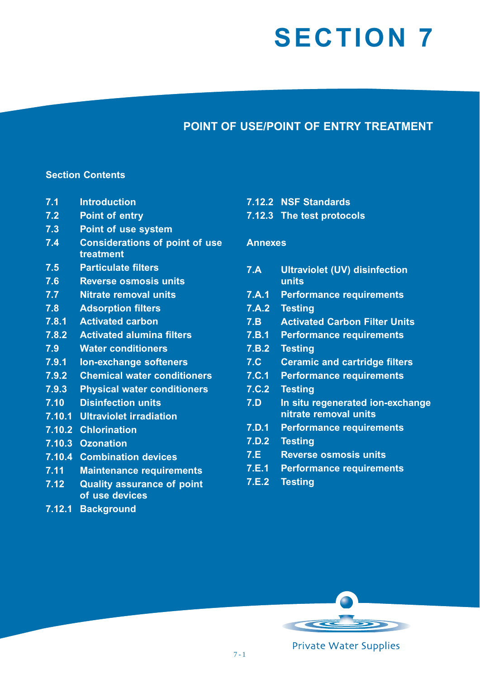### **SECTION 7**

### **???????????????? POINT OF USE/POINT OF ENTRY TREATMENT**

### **Section Contents**

- **7.1 Introduction**
- **7.2 Point of entry**
- **7.3 Point of use system**
- **7.4 Considerations of point of use treatment**
- **7.5 Particulate filters**
- **5.2 Multiple Barriers 7.6 Reverse osmosis units**
- **7.7** Nitrate removal units
- **5.4 Sedimentation 7.8 Adsorption filters**
	- **5.5 Filtration 7.8.1 Activated carbon**
	- **5.5.1 General 7.8.2 Activated alumina filters**
- **5.5.2 Screens 7.9 Water conditioners**
- **5.5.3 Gravel filters 7.9.1 Ion-exchange softeners**
- **5.5.4 Slow sand filters 7.9.2 Chemical water conditioners**
- **5.5.5 Rapid gravity filters 7.9.3 Physical water conditioners**
- **5.5.6 Pressure filters 7.10 Disinfection units**
- **5.6 Aeration 7.10.1 Ultraviolet irradiation**
- **5.7 Chemical transferred 5.1.0.2 Control** of pH **7.10.2 Chlorination**
- **5.10.0 OZONATION 7.10.3 Ozonation**
- **5.7.3 Taste and odour removal 7.10.4 Combination devices**
- **5.7.4 Nitrate removal 7.11 Maintenance requirements**
- **7.12 Quality assurance of point 5.9 Discrimination of use devices**
- **5.9.1 General 7.12.1 Background**

### **7.12.2 NSF Standards**

**7.12.3 The test protocols**

### **Annexes**

- **5.9.3.3 Methods of chlorination 5.9.3.4 Control of chlorination units 7.A Ultraviolet (UV) disinfection**
	- **5.9.4 Ozone Performance requirements**
- **5.10 Corrosion control 7.A.2 Testing**
- **5.10.11 General** 7.**B**<br>7.**B**.1 **7.B Activated Carbon Filter Units**
- **5.10.3 Copper 7.B.1 Performance requirements**
- **5.10.4 165 7esting**
- **5.10.5 Concrete and cement 7.C Ceramic and cartridge filters**
- **5.10.6 Characterising corrosivity 7.C.1 Performance requirements**
- **5.10.7 Water treatment for corrosion 7.C.2 Testing**
- **5.11 Treated water storage 7.D In situ regenerated ion-exchange f nitrate removal units** 
	- **7.D.1 Performance requirements**
	- **7.D.2 Testing**
	- **7.E Reverse osmosis units**
	- **7.E.1 Performance requirements**
	- **7.E.2 Testing**

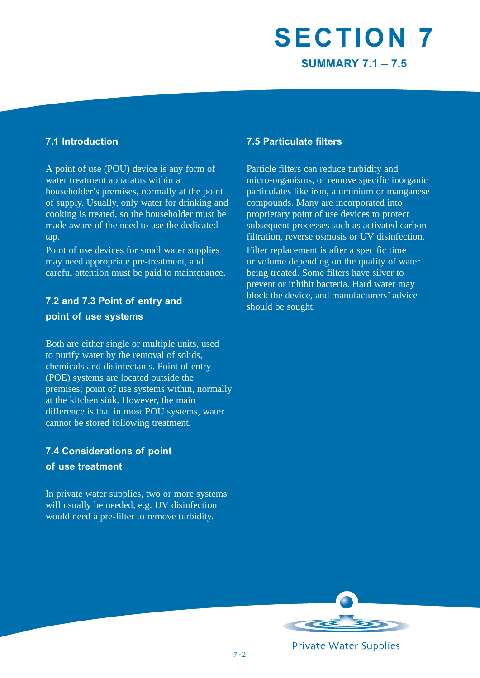

### **7.1 Introduction**

A point of use (POU) device is any form of water treatment apparatus within a householder's premises, normally at the point of supply. Usually, only water for drinking and cooking is treated, so the householder must be made aware of the need to use the dedicated tap.

Point of use devices for small water supplies may need appropriate pre-treatment, and careful attention must be paid to maintenance.

### **7.2 and 7.3 Point of entry and point of use systems**

Both are either single or multiple units, used to purify water by the removal of solids, chemicals and disinfectants. Point of entry (POE) systems are located outside the premises; point of use systems within, normally at the kitchen sink. However, the main difference is that in most POU systems, water cannot be stored following treatment.

### **7.4 Considerations of point of use treatment**

In private water supplies, two or more systems will usually be needed, e.g. UV disinfection would need a pre-filter to remove turbidity.

### **7.5 Particulate filters**

Particle filters can reduce turbidity and micro-organisms, or remove specific inorganic particulates like iron, aluminium or manganese compounds. Many are incorporated into proprietary point of use devices to protect subsequent processes such as activated carbon filtration, reverse osmosis or UV disinfection.

Filter replacement is after a specific time or volume depending on the quality of water being treated. Some filters have silver to prevent or inhibit bacteria. Hard water may block the device, and manufacturers' advice should be sought.

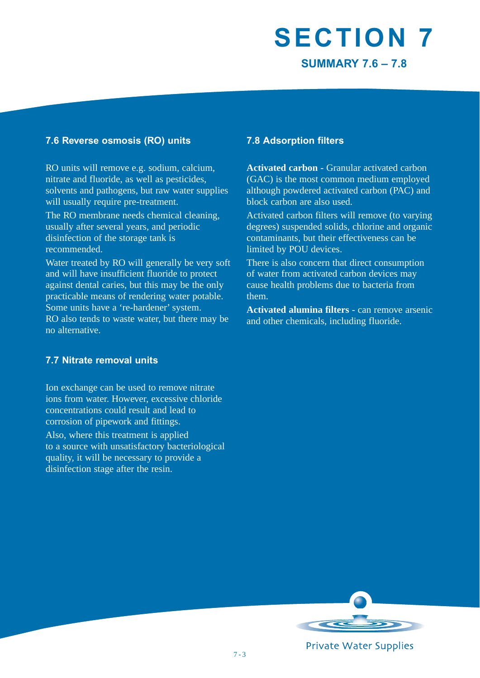

### **7.6 Reverse osmosis (RO) units**

RO units will remove e.g. sodium, calcium, nitrate and fluoride, as well as pesticides, solvents and pathogens, but raw water supplies will usually require pre-treatment.

The RO membrane needs chemical cleaning, usually after several years, and periodic disinfection of the storage tank is recommended.

Water treated by RO will generally be very soft and will have insufficient fluoride to protect against dental caries, but this may be the only practicable means of rendering water potable. Some units have a 're-hardener' system. RO also tends to waste water, but there may be no alternative.

### **7.7 Nitrate removal units**

Ion exchange can be used to remove nitrate ions from water. However, excessive chloride concentrations could result and lead to corrosion of pipework and fittings.

Also, where this treatment is applied to a source with unsatisfactory bacteriological quality, it will be necessary to provide a disinfection stage after the resin.

### **7.8 Adsorption filters**

**Activated carbon** - Granular activated carbon (GAC) is the most common medium employed although powdered activated carbon (PAC) and block carbon are also used.

Activated carbon filters will remove (to varying degrees) suspended solids, chlorine and organic contaminants, but their effectiveness can be limited by POU devices.

There is also concern that direct consumption of water from activated carbon devices may cause health problems due to bacteria from them.

**Activated alumina filters** - can remove arsenic and other chemicals, including fluoride.

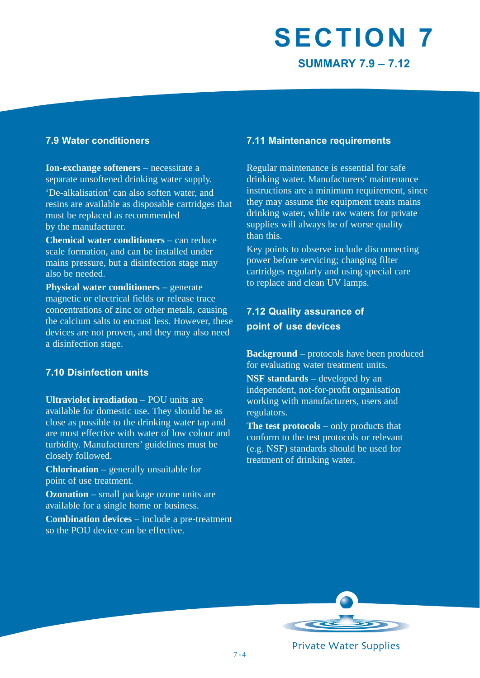

### **7.9 Water conditioners**

**Ion-exchange softeners** – necessitate a separate unsoftened drinking water supply. 'De-alkalisation' can also soften water, and resins are available as disposable cartridges that must be replaced as recommended by the manufacturer.

**Chemical water conditioners** – can reduce scale formation, and can be installed under mains pressure, but a disinfection stage may also be needed.

**Physical water conditioners** – generate magnetic or electrical fields or release trace concentrations of zinc or other metals, causing the calcium salts to encrust less. However, these devices are not proven, and they may also need a disinfection stage.

### **7.10 Disinfection units**

**Ultraviolet irradiation** – POU units are available for domestic use. They should be as close as possible to the drinking water tap and are most effective with water of low colour and turbidity. Manufacturers' guidelines must be closely followed.

**Chlorination** – generally unsuitable for point of use treatment.

**Ozonation** – small package ozone units are available for a single home or business.

**Combination devices** – include a pre-treatment so the POU device can be effective.

### **7.11 Maintenance requirements**

Regular maintenance is essential for safe drinking water. Manufacturers' maintenance instructions are a minimum requirement, since they may assume the equipment treats mains drinking water, while raw waters for private supplies will always be of worse quality than this.

Key points to observe include disconnecting power before servicing; changing filter cartridges regularly and using special care to replace and clean UV lamps.

### **7.12 Quality assurance of point of use devices**

**Background** – protocols have been produced for evaluating water treatment units.

**NSF standards** – developed by an independent, not-for-profit organisation working with manufacturers, users and regulators.

**The test protocols** – only products that conform to the test protocols or relevant (e.g. NSF) standards should be used for treatment of drinking water.

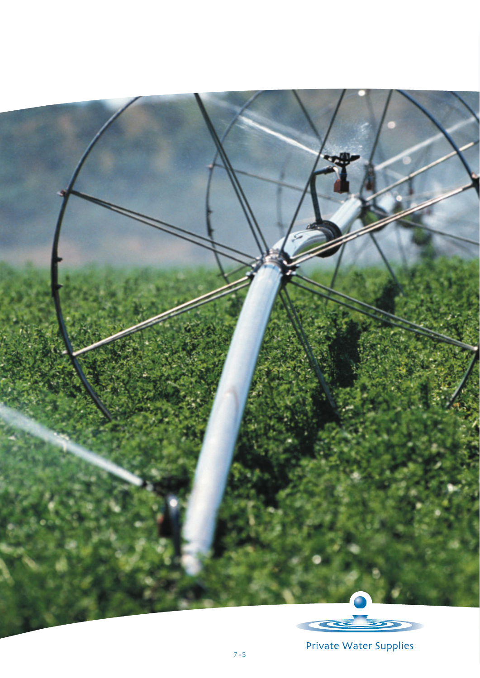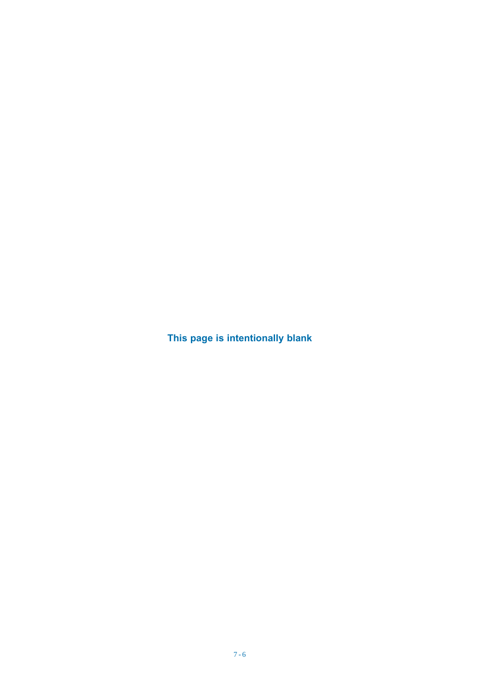**This page is intentionally blank**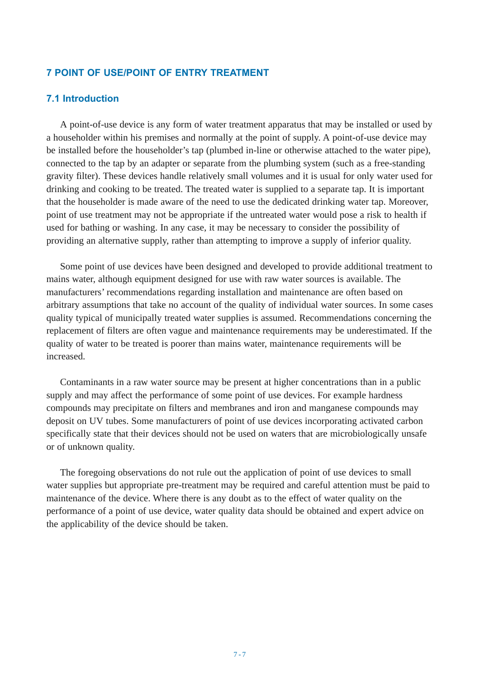### **7 POINT OF USE/POINT OF ENTRY TREATMENT**

### **7.1 Introduction**

A point-of-use device is any form of water treatment apparatus that may be installed or used by a householder within his premises and normally at the point of supply. A point-of-use device may be installed before the householder's tap (plumbed in-line or otherwise attached to the water pipe), connected to the tap by an adapter or separate from the plumbing system (such as a free-standing gravity filter). These devices handle relatively small volumes and it is usual for only water used for drinking and cooking to be treated. The treated water is supplied to a separate tap. It is important that the householder is made aware of the need to use the dedicated drinking water tap. Moreover, point of use treatment may not be appropriate if the untreated water would pose a risk to health if used for bathing or washing. In any case, it may be necessary to consider the possibility of providing an alternative supply, rather than attempting to improve a supply of inferior quality.

Some point of use devices have been designed and developed to provide additional treatment to mains water, although equipment designed for use with raw water sources is available. The manufacturers' recommendations regarding installation and maintenance are often based on arbitrary assumptions that take no account of the quality of individual water sources. In some cases quality typical of municipally treated water supplies is assumed. Recommendations concerning the replacement of filters are often vague and maintenance requirements may be underestimated. If the quality of water to be treated is poorer than mains water, maintenance requirements will be increased.

Contaminants in a raw water source may be present at higher concentrations than in a public supply and may affect the performance of some point of use devices. For example hardness compounds may precipitate on filters and membranes and iron and manganese compounds may deposit on UV tubes. Some manufacturers of point of use devices incorporating activated carbon specifically state that their devices should not be used on waters that are microbiologically unsafe or of unknown quality.

The foregoing observations do not rule out the application of point of use devices to small water supplies but appropriate pre-treatment may be required and careful attention must be paid to maintenance of the device. Where there is any doubt as to the effect of water quality on the performance of a point of use device, water quality data should be obtained and expert advice on the applicability of the device should be taken.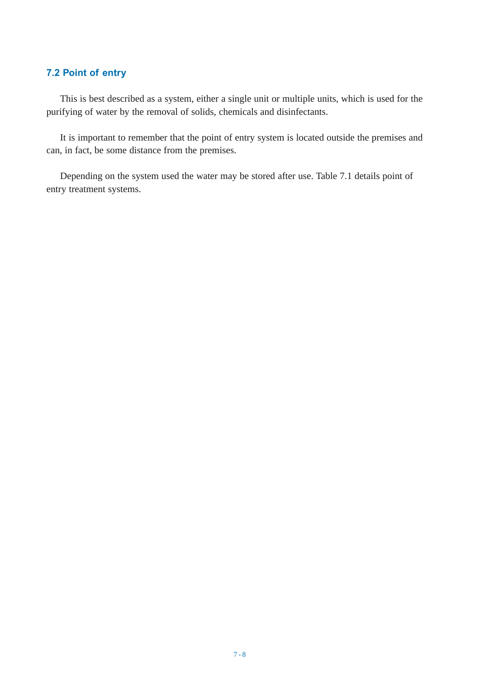### **7.2 Point of entry**

This is best described as a system, either a single unit or multiple units, which is used for the purifying of water by the removal of solids, chemicals and disinfectants.

It is important to remember that the point of entry system is located outside the premises and can, in fact, be some distance from the premises.

Depending on the system used the water may be stored after use. Table 7.1 details point of entry treatment systems.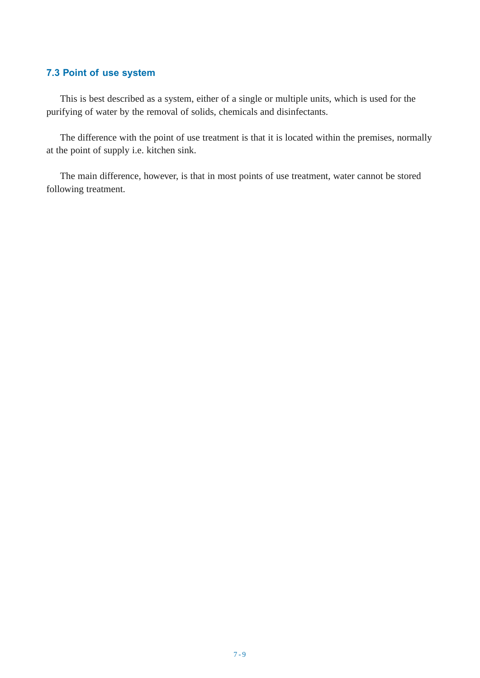### **7.3 Point of use system**

This is best described as a system, either of a single or multiple units, which is used for the purifying of water by the removal of solids, chemicals and disinfectants.

The difference with the point of use treatment is that it is located within the premises, normally at the point of supply i.e. kitchen sink.

The main difference, however, is that in most points of use treatment, water cannot be stored following treatment.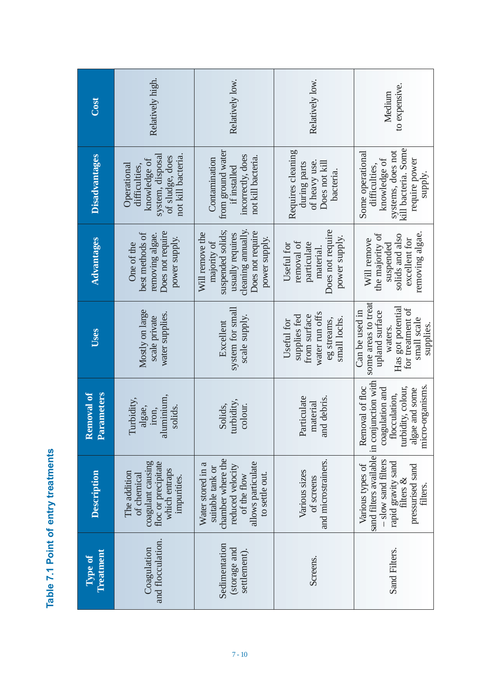| Cost                                                    | Relatively high.                                                                                          | Relatively low.                                                                                                                       | Relatively low.                                                                             | to expensive.<br>Medium                                                                                                                                   |
|---------------------------------------------------------|-----------------------------------------------------------------------------------------------------------|---------------------------------------------------------------------------------------------------------------------------------------|---------------------------------------------------------------------------------------------|-----------------------------------------------------------------------------------------------------------------------------------------------------------|
| <b>Disadvantages</b>                                    | system, disposal<br>not kill bacteria.<br>of sludge, does<br>knowledge of<br>Operational<br>difficulties, | from ground water<br>incorrectly, does<br>not kill bacteria.<br>Contamination<br>if installed                                         | Requires cleaning<br>of heavy use.<br>Does not kill<br>during parts<br>bacteria.            | kill bacteria. Some<br>systems, does not<br>Some operational<br>knowledge of<br>require power<br>difficulties,<br>supply.                                 |
| Advantages                                              | Does not require<br>best methods of<br>removing algae.<br>power supply.<br>One of the                     | cleaning annually.<br>suspended solids;<br>Does not require<br>Will remove the<br>usually requires<br>power supply.<br>majority of    | Does not require<br>power supply.<br>removal of<br>Useful for<br>particulate<br>material.   | removing algae.<br>the majority of<br>solids and also<br>Will remove<br>excellent for<br>suspended                                                        |
| Uses                                                    | Mostly on large<br>water supplies.<br>scale private                                                       | system for small<br>scale supply.<br>Excellent                                                                                        | water run offs<br>supplies fed<br>from surface<br>small lochs.<br>eg streams,<br>Useful for | some areas to treat<br>Has got potential<br>for treatment of<br>upland surface<br>Can be used in<br>small scale<br>supplies.<br>waters.                   |
| Parameters<br>Removal of                                | uminium,<br>Turbidity,<br>algae,<br>solids.<br>iron,<br>ನ                                                 | turbidity,<br>Solids,<br>colour.                                                                                                      | Particulate<br>and debris.<br>material                                                      | micro-organisms.<br>Removal of floc<br>turbidity, colour,<br>coagulation and<br>algae and some<br>flocculation,                                           |
| <b>Description</b>                                      | coagulant causing<br>floc or precipitate<br>which entraps<br>The addition<br>of chemical<br>impurities.   | chamber where the<br>allows particulate<br>Water stored in a<br>reduced velocity<br>suitable tank or<br>to settle out.<br>of the flow | and microstrainers.<br>Various sizes<br>of screens                                          | sand filters available in conjunction with<br>slow sand filters<br>rapid gravity sand<br>Various types of<br>pressurised sand<br>filters $\&$<br>filters. |
| <b>Treatment</b><br>$\overline{\operatorname{Type}}$ of | and flocculation.<br>Coagulation                                                                          | Sedimentation<br>(storage and<br>settlement).                                                                                         | Screens.                                                                                    | Sand Filters.                                                                                                                                             |

## Table 7.1 Point of entry treatments **Table 7.1 Point of entry treatments**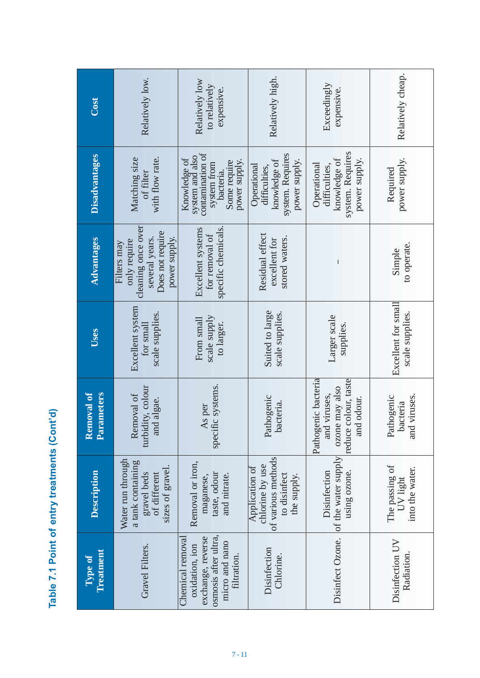| Cost                            | Relatively low.                                                                                          | Relatively low<br>to relatively<br>expensive.                                                                    | Relatively high.                                                                       | Exceedingly<br>expensive.                                                                   | Relatively cheap.                             |
|---------------------------------|----------------------------------------------------------------------------------------------------------|------------------------------------------------------------------------------------------------------------------|----------------------------------------------------------------------------------------|---------------------------------------------------------------------------------------------|-----------------------------------------------|
| Disadvantages                   | Matching size<br>with flow rate.<br>of filter                                                            | contamination of<br>system and also<br>Knowledge of<br>power supply.<br>Some require<br>system from<br>bacteria. | system. Requires<br>power supply.<br>knowledge of<br>Operational<br>difficulties,      | system. Requires<br>knowledge of<br>power supply.<br>Operational<br>difficulties,           | power supply.<br>Required                     |
| <b>Advantages</b>               | cleaning once over<br>Does not require<br>power supply.<br>several years.<br>only require<br>Filters may | specific chemicals.<br>Excellent systems<br>for removal of                                                       | Residual effect<br>stored waters.<br>excellent for                                     |                                                                                             | to operate.<br>Simple                         |
| Uses                            | Excellent system<br>scale supplies.<br>for small                                                         | scale supply<br>From small<br>to larger.                                                                         | Suited to large<br>scale supplies.                                                     | Larger scale<br>supplies.                                                                   | Excellent for small<br>scale supplies.        |
| Removal of<br><b>Parameters</b> | turbidity, colour<br>Removal of<br>and algae.                                                            | specific systems.<br>As per                                                                                      | Pathogenic<br>bacteria.                                                                | Pathogenic bacteria<br>reduce colour, taste<br>ozone may also<br>and viruses,<br>and odour. | and viruses.<br>Pathogenic<br>pacteria        |
| <b>Description</b>              | Water run through<br>a tank containing<br>sizes of gravel.<br>gravel beds<br>of different                | Removal or iron,<br>taste, odour<br>and nitrate.<br>maganese,                                                    | of various methods<br>chlorine by use<br>Application of<br>to disinfect<br>the supply. | of the water supply<br>Disinfection<br>using ozone.                                         | The passing of<br>UV light<br>into the water. |
| Treatment<br>Type of            | Gravel Filters.                                                                                          | osmosis after ultra,<br>Chemical removal<br>exchange, reverse<br>micro and nano<br>oxidation, ion<br>filtration. | Disinfection<br>Chlorine.                                                              | Disinfect Ozone.                                                                            | Disinfection UV<br>Radiation.                 |

Table 7.1 Point of entry treatments (Cont'd) **Table 7.1 Point of entry treatments (Cont'd)**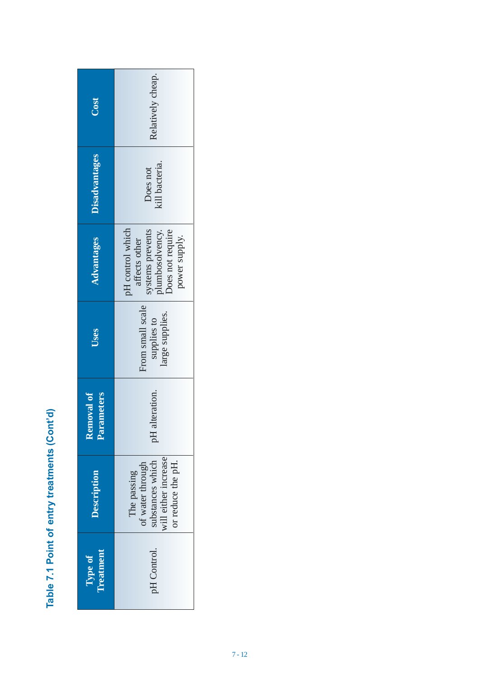| i           |
|-------------|
| d           |
|             |
|             |
|             |
| (<br>Color) |
|             |
|             |
|             |
|             |
| ו<br>ו      |
|             |
|             |
|             |
|             |
|             |
| į           |
| 5<br>i<br>F |
|             |
|             |
|             |
|             |
|             |
|             |
| oint of     |
|             |
|             |
|             |
|             |
|             |
|             |
|             |
|             |
|             |
|             |
| Table       |
|             |
|             |
|             |
|             |

| Cost                            | Relatively cheap.                                                                                            |
|---------------------------------|--------------------------------------------------------------------------------------------------------------|
| Disadvantages                   | kill bacteria.<br>Does not                                                                                   |
| Advantages                      | pH control which<br>Ooes not require<br>lumbosolvency.<br>systems prevents<br>power supply.<br>affects other |
| Uses                            | From small scale<br>large supplies.<br>supplies to                                                           |
| Removal of<br><b>Parameters</b> | alteration<br>Ηq                                                                                             |
| Description                     | will either increase<br>ubstances which<br>or reduce the pH.<br>of water through<br>The passing              |
| <b>Treatment</b><br>Type of     | pH Control                                                                                                   |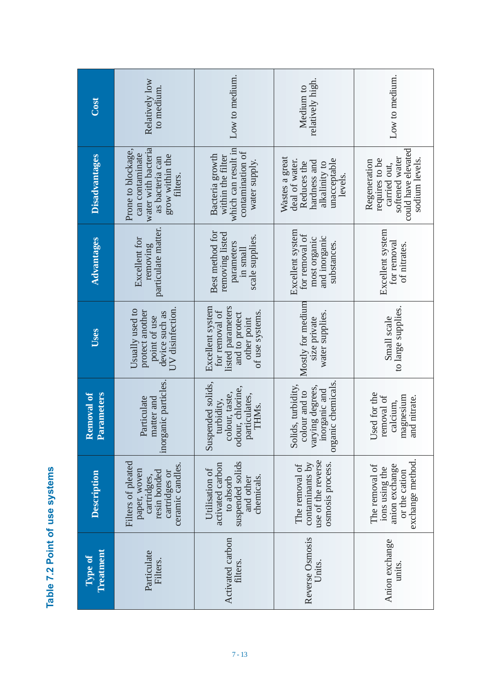| Cost                     | Relatively low<br>to medium.                                                                                   | Low to medium.                                                                                              | relatively high.<br>Medium to                                                                               | Low to medium.                                                                                            |
|--------------------------|----------------------------------------------------------------------------------------------------------------|-------------------------------------------------------------------------------------------------------------|-------------------------------------------------------------------------------------------------------------|-----------------------------------------------------------------------------------------------------------|
| Disadvantages            | water with bacteria<br>Prone to blockage,<br>can contaminate<br>grow within the<br>as bacteria can<br>filters. | which can result in<br>contamination of<br>Bacteria growth<br>within the filter<br>water supply.            | Wastes a great<br>unacceptable<br>deal of water.<br>hardness and<br>Reduces the<br>alkalinity to<br>levels. | could have elevated<br>softened water<br>requires to be<br>sodium levels.<br>Regeneration<br>carried out, |
| Advantages               | particulate matter.<br>Excellent for<br>removing                                                               | Best method for<br>removing listed<br>scale supplies.<br>parameters<br>in small                             | Excellent system<br>for removal of<br>and inorganic<br>most organic<br>substances.                          | Excellent system<br>for removal<br>of nitrates.                                                           |
| Uses                     | UV disinfection.<br>Usually used to<br>protect another<br>device such as<br>point of use                       | Excellent system<br>listed parameters<br>for removal of<br>of use systems.<br>and to protect<br>other point | Mostly for medium<br>water supplies.<br>size private                                                        | to large supplies.<br>Small scale                                                                         |
| Removal of<br>Parameters | inorganic particles.<br>Particulate<br>matter and                                                              | Suspended solids,<br>odour, chlorine,<br>colour, taste,<br>particulates,<br>turbidity,<br><b>THMs</b>       | organic chemicals.<br>Solids, turbidity,<br>varying degrees,<br>inorganic and<br>colour and to              | Used for the<br>magnesium<br>removal of<br>and nitrate.<br>calcium,                                       |
| <b>Description</b>       | Filters of pleated<br>ceramic candles.<br>paper, woven<br>resin bonded<br>cartridges or<br>cartridges,         | suspended solids<br>activated carbon<br>Utilisation of<br>chemicals.<br>to absorb<br>and other              | use of the reverse<br>contaminants by<br>osmosis process.<br>The removal of                                 | exchange method.<br>The removal of<br>anion exchange<br>ions using the<br>or the cation                   |
| Treatment<br>Type of     | Particulate<br>Filters.                                                                                        | Activated carbon<br>filters.                                                                                | Reverse Osmosis<br>Units.                                                                                   | Anion exchange<br>units.                                                                                  |

### Table 7.2 Point of use systems **Table 7.2 Point of use systems**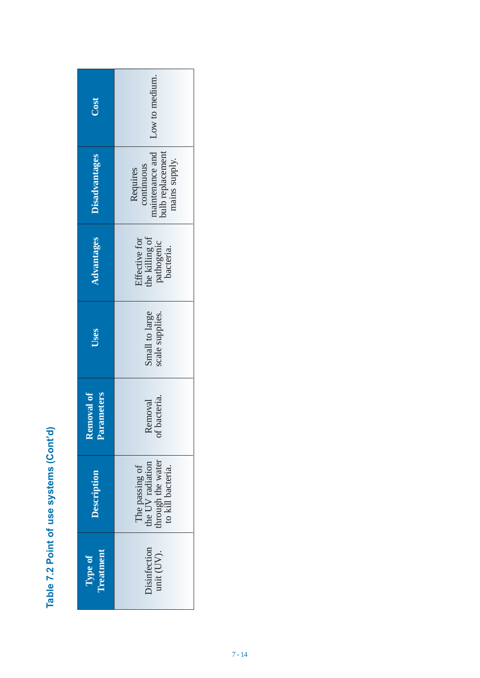# Table 7.2 Point of use systems (Cont'd) **Table 7.2 Point of use systems (Cont'd)**

| Cost<br><b>Disadvantages</b> | Low to medium.<br>maintenance and<br>oulb replacement<br>mains supply.<br>continuous<br>Requires |
|------------------------------|--------------------------------------------------------------------------------------------------|
| Advantages                   | Effective for<br>the killing of<br>pathogenic<br>bacteria.                                       |
| Uses                         | Small to large<br>scale supplies.                                                                |
| Removal of<br>Parameters     | bacteria<br>emoval<br>$\approx$                                                                  |
| Description                  | The passing of<br>the UV radiation<br>through the water<br>to kill bacteria.                     |
| <b>Treatment</b><br>Type of  | Disinfection<br>unit (UV).                                                                       |